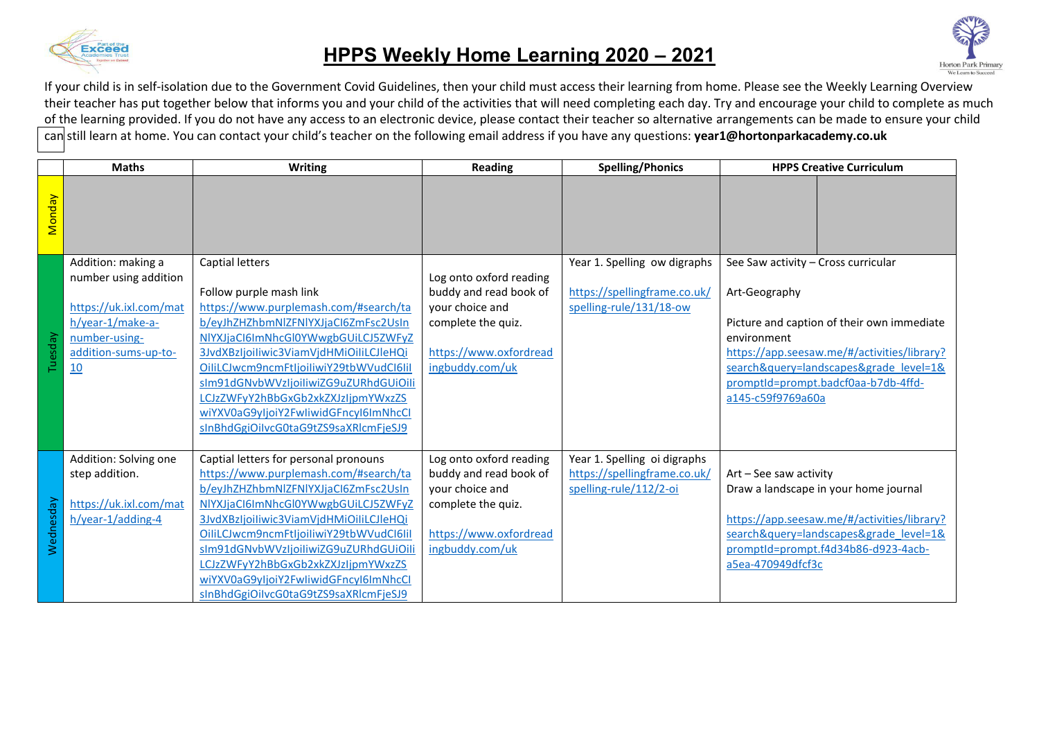

## **HPPS Weekly Home Learning 2020 – 2021**



If your child is in self-isolation due to the Government Covid Guidelines, then your child must access their learning from home. Please see the Weekly Learning Overview their teacher has put together below that informs you and your child of the activities that will need completing each day. Try and encourage your child to complete as much of the learning provided. If you do not have any access to an electronic device, please contact their teacher so alternative arrangements can be made to ensure your child can still learn at home. You can contact your child's teacher on the following email address if you have any questions: **year1@hortonparkacademy.co.uk** 

|           | <b>Maths</b>           | <b>Writing</b>                          | <b>Reading</b>          | <b>Spelling/Phonics</b>      | <b>HPPS Creative Curriculum</b>             |  |
|-----------|------------------------|-----------------------------------------|-------------------------|------------------------------|---------------------------------------------|--|
| Monday    |                        |                                         |                         |                              |                                             |  |
|           | Addition: making a     | <b>Captial letters</b>                  |                         | Year 1. Spelling ow digraphs | See Saw activity - Cross curricular         |  |
| Tuesday   | number using addition  |                                         | Log onto oxford reading |                              |                                             |  |
|           |                        | Follow purple mash link                 | buddy and read book of  | https://spellingframe.co.uk/ | Art-Geography                               |  |
|           | https://uk.ixl.com/mat | https://www.purplemash.com/#search/ta   | your choice and         | spelling-rule/131/18-ow      |                                             |  |
|           | h/year-1/make-a-       | b/eyJhZHZhbmNlZFNlYXJjaCl6ZmFsc2UsIn    | complete the quiz.      |                              | Picture and caption of their own immediate  |  |
|           | number-using-          | NIYXJjaCl6ImNhcGl0YWwgbGUiLCJ5ZWFyZ     |                         |                              | environment                                 |  |
|           | addition-sums-up-to-   | 3JvdXBzIjoiliwic3ViamVjdHMiOiliLCJleHQi | https://www.oxfordread  |                              | https://app.seesaw.me/#/activities/library? |  |
|           | 10                     | OiliLCJwcm9ncmFtljoiliwiY29tbWVudCl6lil | ingbuddy.com/uk         |                              | search&query=landscapes&grade level=1&      |  |
|           |                        | sIm91dGNvbWVzIjoiliwiZG9uZURhdGUiOili   |                         |                              | promptId=prompt.badcf0aa-b7db-4ffd-         |  |
|           |                        | LCJzZWFyY2hBbGxGb2xkZXJzIjpmYWxzZS      |                         |                              | a145-c59f9769a60a                           |  |
|           |                        | wiYXV0aG9yljoiY2FwliwidGFncyl6ImNhcCl   |                         |                              |                                             |  |
|           |                        | sInBhdGgiOilvcG0taG9tZS9saXRlcmFjeSJ9   |                         |                              |                                             |  |
|           | Addition: Solving one  | Captial letters for personal pronouns   | Log onto oxford reading | Year 1. Spelling oi digraphs |                                             |  |
| Wednesday | step addition.         | https://www.purplemash.com/#search/ta   | buddy and read book of  | https://spellingframe.co.uk/ | Art - See saw activity                      |  |
|           |                        | b/eyJhZHZhbmNlZFNlYXJjaCl6ZmFsc2UsIn    | your choice and         | spelling-rule/112/2-oi       | Draw a landscape in your home journal       |  |
|           | https://uk.ixl.com/mat | NIYXJjaCl6ImNhcGl0YWwgbGUiLCJ5ZWFyZ     | complete the quiz.      |                              |                                             |  |
|           | h/year-1/adding-4      | 3JvdXBzIjoiliwic3ViamVjdHMiOiliLCJleHQi |                         |                              | https://app.seesaw.me/#/activities/library? |  |
|           |                        | OiliLCJwcm9ncmFtljoiliwiY29tbWVudCl6lil | https://www.oxfordread  |                              | search&query=landscapes&grade level=1&      |  |
|           |                        | sIm91dGNvbWVzIjoiliwiZG9uZURhdGUiOili   | ingbuddy.com/uk         |                              | promptId=prompt.f4d34b86-d923-4acb-         |  |
|           |                        | LCJzZWFyY2hBbGxGb2xkZXJzIjpmYWxzZS      |                         |                              | a5ea-470949dfcf3c                           |  |
|           |                        | wiYXV0aG9yljoiY2FwliwidGFncyl6ImNhcCl   |                         |                              |                                             |  |
|           |                        | sInBhdGgiOilvcG0taG9tZS9saXRlcmFjeSJ9   |                         |                              |                                             |  |